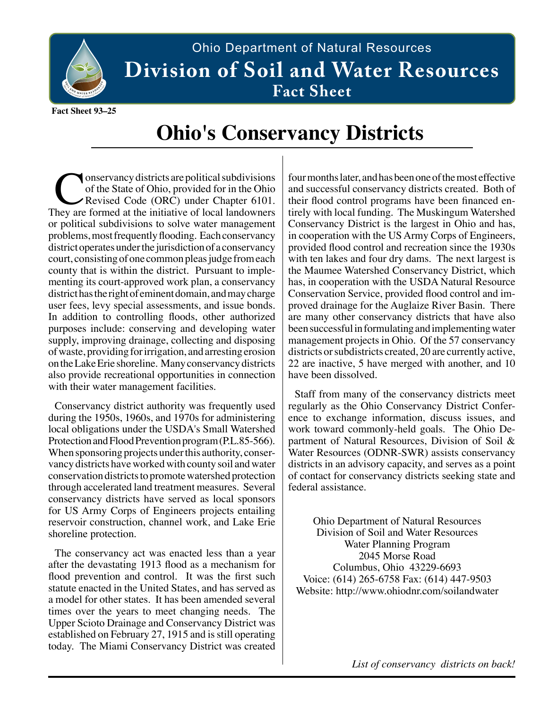

## Ohio Department of Natural Resources Division of Soil and Water Resources  $\bf{Factor}\$

**Fact Sheet 93–25**

## **Ohio's Conservancy Districts**

Onservancy districts are political subdivisions<br>
of the State of Ohio, provided for in the Ohio<br>
They are formed at the initiative of local landowners of the State of Ohio, provided for in the Ohio Revised Code (ORC) under Chapter 6101. or political subdivisions to solve water management problems, most frequently flooding. Each conservancy district operates under the jurisdiction of a conservancy court, consisting of one common pleas judge from each county that is within the district. Pursuant to implementing its court-approved work plan, a conservancy district has the right of eminent domain, and may charge user fees, levy special assessments, and issue bonds. In addition to controlling floods, other authorized purposes include: conserving and developing water supply, improving drainage, collecting and disposing of waste, providing for irrigation, and arresting erosion on the Lake Erie shoreline. Many conservancy districts also provide recreational opportunities in connection with their water management facilities.

Conservancy district authority was frequently used during the 1950s, 1960s, and 1970s for administering local obligations under the USDA's Small Watershed Protection and Flood Prevention program (P.L.85-566). When sponsoring projects under this authority, conservancy districts have worked with county soil and water conservation districts to promote watershed protection through accelerated land treatment measures. Several conservancy districts have served as local sponsors for US Army Corps of Engineers projects entailing reservoir construction, channel work, and Lake Erie shoreline protection.

The conservancy act was enacted less than a year after the devastating 1913 flood as a mechanism for flood prevention and control. It was the first such statute enacted in the United States, and has served as a model for other states. It has been amended several times over the years to meet changing needs. The Upper Scioto Drainage and Conservancy District was established on February 27, 1915 and is still operating today. The Miami Conservancy District was created four months later, and has been one of the most effective and successful conservancy districts created. Both of their flood control programs have been financed entirely with local funding. The Muskingum Watershed Conservancy District is the largest in Ohio and has, in cooperation with the US Army Corps of Engineers, provided flood control and recreation since the 1930s with ten lakes and four dry dams. The next largest is the Maumee Watershed Conservancy District, which has, in cooperation with the USDA Natural Resource Conservation Service, provided flood control and improved drainage for the Auglaize River Basin. There are many other conservancy districts that have also been successful in formulating and implementing water management projects in Ohio. Of the 57 conservancy districts or subdistricts created, 20 are currently active, 22 are inactive, 5 have merged with another, and 10 have been dissolved.

Staff from many of the conservancy districts meet regularly as the Ohio Conservancy District Conference to exchange information, discuss issues, and work toward commonly-held goals. The Ohio Department of Natural Resources, Division of Soil & Water Resources (ODNR-SWR) assists conservancy districts in an advisory capacity, and serves as a point of contact for conservancy districts seeking state and federal assistance.

Ohio Department of Natural Resources Division of Soil and Water Resources Water Planning Program 2045 Morse Road Columbus, Ohio 43229-6693 Voice: (614) 265-6758 Fax: (614) 447-9503 Website: http://www.ohiodnr.com/soilandwater

*List of conservancy districts on back!*